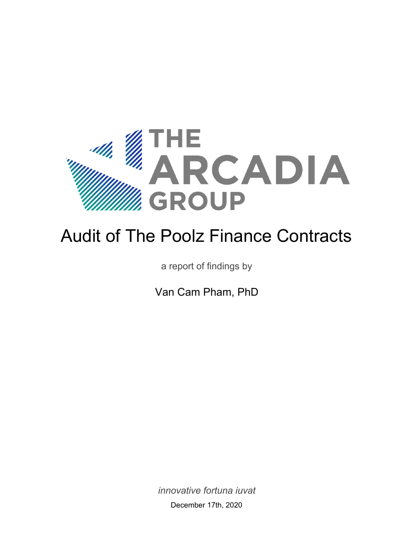

# Audit of The Poolz Finance Contracts

a report of findings by

Van Cam Pham, PhD

<span id="page-0-0"></span>*innovative fortuna iuvat* December 17th, 2020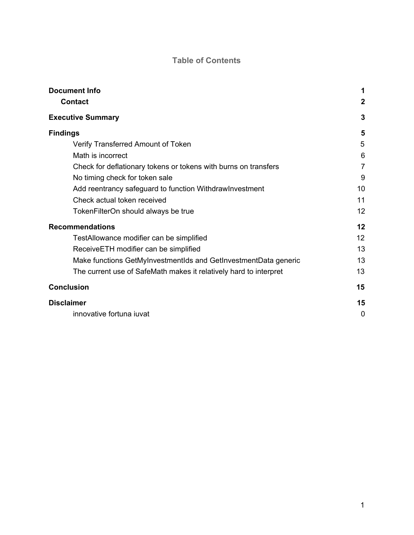#### **Table of Contents**

<span id="page-1-0"></span>

| <b>Document Info</b>                                              | 1                |
|-------------------------------------------------------------------|------------------|
| <b>Contact</b>                                                    | $\boldsymbol{2}$ |
| <b>Executive Summary</b>                                          | 3                |
| <b>Findings</b>                                                   | 5                |
| Verify Transferred Amount of Token                                | 5                |
| Math is incorrect                                                 | 6                |
| Check for deflationary tokens or tokens with burns on transfers   | $\overline{7}$   |
| No timing check for token sale                                    | 9                |
| Add reentrancy safeguard to function Withdraw Investment          | 10               |
| Check actual token received                                       | 11               |
| TokenFilterOn should always be true                               | 12               |
| <b>Recommendations</b>                                            |                  |
| TestAllowance modifier can be simplified                          | 12               |
| ReceiveETH modifier can be simplified                             | 13               |
| Make functions GetMyInvestmentIds and GetInvestmentData generic   | 13               |
| The current use of SafeMath makes it relatively hard to interpret | 13               |
| <b>Conclusion</b>                                                 | 15               |
| <b>Disclaimer</b>                                                 | 15               |
| innovative fortuna iuvat                                          | 0                |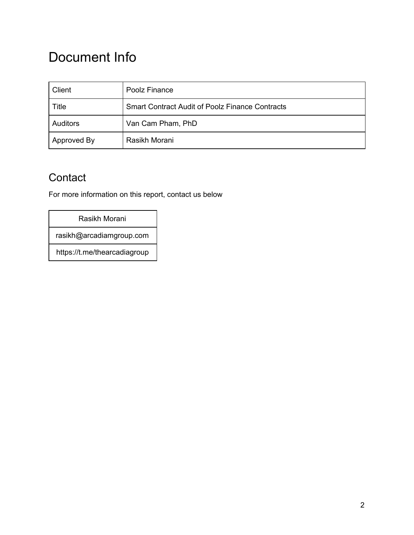## Document Info

| Client          | Poolz Finance                                          |
|-----------------|--------------------------------------------------------|
| Title           | <b>Smart Contract Audit of Poolz Finance Contracts</b> |
| <b>Auditors</b> | Van Cam Pham, PhD                                      |
| Approved By     | Rasikh Morani                                          |

### <span id="page-2-0"></span>**Contact**

For more information on this report, contact us below

#### Rasikh Morani

rasikh@arcadiamgroup.com

https://t.me/thearcadiagroup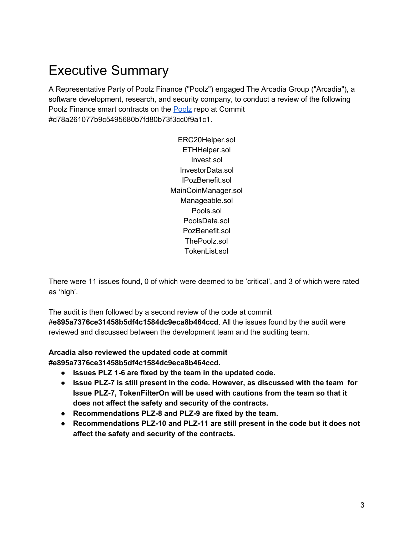## <span id="page-3-0"></span>Executive Summary

A Representative Party of Poolz Finance ("Poolz") engaged The Arcadia Group ("Arcadia"), a software development, research, and security company, to conduct a review of the following Poolz Finance smart contracts on the [Poolz](https://github.com/The-Poolz/Poolz-Back.git) repo at Commit #d78a261077b9c5495680b7fd80b73f3cc0f9a1c1.

> ERC20Helper.sol ETHHelper.sol Invest.sol InvestorData.sol IPozBenefit.sol MainCoinManager.sol Manageable.sol Pools.sol PoolsData.sol PozBenefit.sol ThePoolz.sol TokenList.sol

There were 11 issues found, 0 of which were deemed to be 'critical', and 3 of which were rated as 'high'.

The audit is then followed by a second review of the code at commit #**e895a7376ce31458b5df4c1584dc9eca8b464ccd**. All the issues found by the audit were reviewed and discussed between the development team and the auditing team.

**Arcadia also reviewed the updated code at commit**

**#e895a7376ce31458b5df4c1584dc9eca8b464ccd.**

- **● Issues PLZ 1-6 are fixed by the team in the updated code.**
- **● Issue PLZ-7 is still present in the code. However, as discussed with the team for Issue PLZ-7, TokenFilterOn will be used with cautions from the team so that it does not affect the safety and security of the contracts.**
- **● Recommendations PLZ-8 and PLZ-9 are fixed by the team.**
- **● Recommendations PLZ-10 and PLZ-11 are still present in the code but it does not affect the safety and security of the contracts.**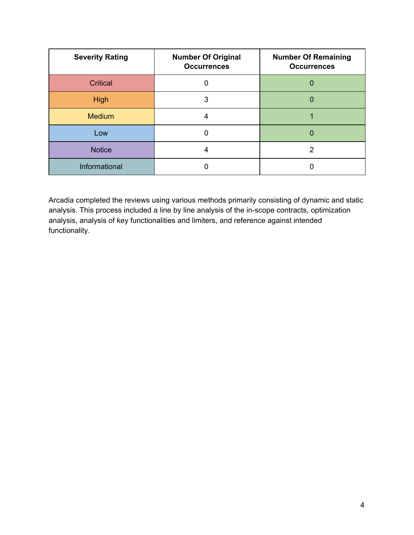| <b>Severity Rating</b> | <b>Number Of Original</b><br><b>Occurrences</b> | <b>Number Of Remaining</b><br><b>Occurrences</b> |
|------------------------|-------------------------------------------------|--------------------------------------------------|
| <b>Critical</b>        | 0                                               |                                                  |
| <b>High</b>            | 3                                               |                                                  |
| <b>Medium</b>          | 4                                               |                                                  |
| Low                    |                                                 |                                                  |
| <b>Notice</b>          |                                                 |                                                  |
| Informational          |                                                 |                                                  |

Arcadia completed the reviews using various methods primarily consisting of dynamic and static analysis. This process included a line by line analysis of the in-scope contracts, optimization analysis, analysis of key functionalities and limiters, and reference against intended functionality.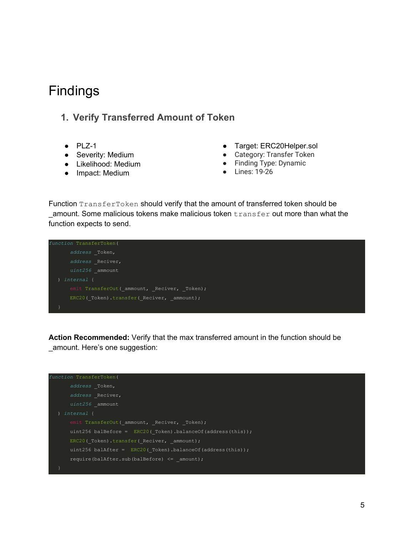### <span id="page-5-0"></span>Findings

#### <span id="page-5-1"></span>**1. Verify Transferred Amount of Token**

- $\n\rightharpoonup$  PLZ-1
- Severity: Medium
- Likelihood: Medium
- Impact: Medium
- Target: ERC20Helper.sol
- Category: Transfer Token
- Finding Type: Dynamic
- Lines: 19-26

Function TransferToken should verify that the amount of transferred token should be \_amount. Some malicious tokens make malicious token transfer out more than what the function expects to send.

```
function TransferToken(
       address _Token,
       address _Reciver,
       uint256 _ammount
      emit TransferOut( ammount, Reciver, Token);
      ERC20(Token).transfer(Reciver, ammount);
```
**Action Recommended:** Verify that the max transferred amount in the function should be \_amount. Here's one suggestion:

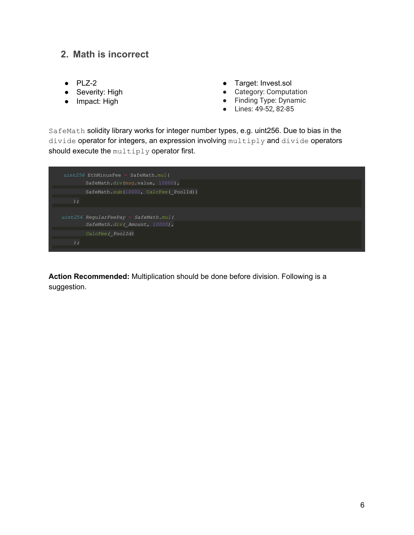#### <span id="page-6-0"></span>**2. Math is incorrect**

- $\bullet$  PLZ-2
- Severity: High
- Impact: High
- Target: Invest.sol
- Category: Computation
- Finding Type: Dynamic
- Lines: 49-52, 82-85

SafeMath solidity library works for integer number types, e.g. uint256. Due to bias in the divide operator for integers, an expression involving multiply and divide operators should execute the multiply operator first.

|       | $uint256$ EthMinusFee = SafeMath.mul(<br>SafeMath.div(msq.value, 10000), |
|-------|--------------------------------------------------------------------------|
|       | SafeMath.sub(10000, CalcFee( PoolId))                                    |
| $)$ ; |                                                                          |
|       | $uint256$ ReqularFeePay = SafeMath.mul(                                  |
|       | SafeMath.div( Amount, 10000),                                            |
|       | CalcFee ( PoolId)                                                        |
| $)$ ; |                                                                          |

**Action Recommended:** Multiplication should be done before division. Following is a suggestion.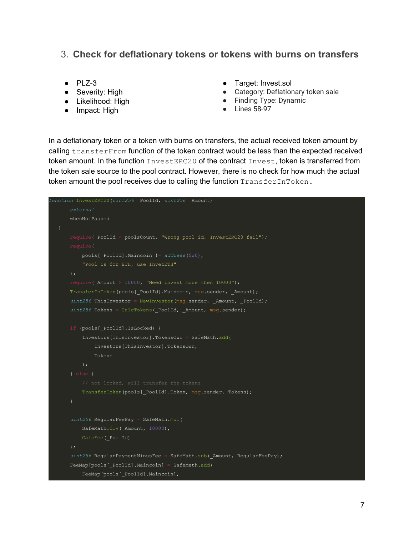#### <span id="page-7-0"></span>3. **Check for deflationary tokens or tokens with burns on transfers**

- $\bullet$  PLZ-3
- Severity: High
- Likelihood: High
- Impact: High
- Target: Invest.sol
- Category: Deflationary token sale
- Finding Type: Dynamic
- Lines 58-97

In a deflationary token or a token with burns on transfers, the actual received token amount by calling transferFrom function of the token contract would be less than the expected received token amount. In the function  $InvestERC20$  of the contract  $Invest$ , token is transferred from the token sale source to the pool contract. However, there is no check for how much the actual token amount the pool receives due to calling the function TransferInToken.

```
function InvestERC20(uint256 _PoolId, uint256 _Amount)
       external
       whenNotPaused
      require( PoolId < poolsCount, "Wrong pool id, InvestERC20 fail");
           pools[_PoolId].Maincoin != address(0x0),
       );
       require(_Amount > 10000, "Need invest more then 10000");
      TransferInToken(pools[ PoolId].Maincoin, msg.sender, Amount);
      uint256 ThisInvestor = NewInvestor(msg.sender, _Amount, _PoolId);
      uint256 Tokens = CalcTokens ( PoolId, Amount, msg.sender);
       if (pools[_PoolId].IsLocked) {
           Investors[ThisInvestor].TokensOwn = SafeMath.add(
               Investors[ThisInvestor].TokensOwn,
               Tokens
          TransferToken(pools[ PoolId].Token, msg.sender, Tokens);
       uint256 RegularFeePay = SafeMath.mul(
          SafeMath.div( Amount, 10000),
           CalcFee(_PoolId)
       );
       uint256 RegularPaymentMinusFee = SafeMath.sub(_Amount, RegularFeePay);
       FeeMap[pools[_PoolId].Maincoin] = SafeMath.add(
           FeeMap[pools[_PoolId].Maincoin],
```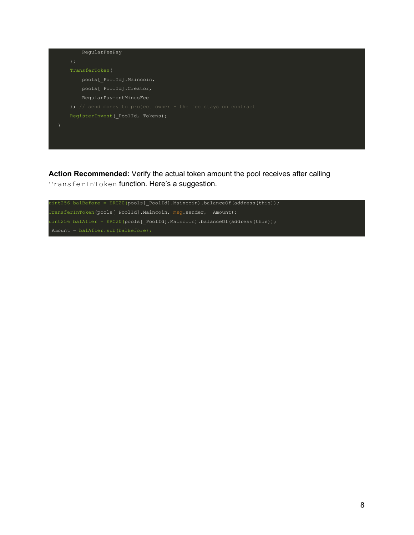

**Action Recommended:** Verify the actual token amount the pool receives after calling TransferInToken function. Here's a suggestion.

```
uint256 balBefore = ERC20(pools[_PoolId].Maincoin).balanceOf(address(this));
TransferInToken(pools[_PoolId].Maincoin, msg.sender, _Amount);
uint256 balAfter = ERC20(pools[_PoolId].Maincoin).balanceOf(address(this));
\texttt{\_Amount = balAfter.sub(balBefore)};
```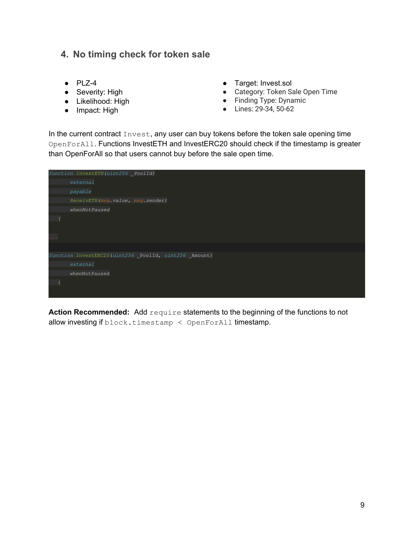#### <span id="page-9-0"></span>**4. No timing check for token sale**

- $\bullet$  PLZ-4
- Severity: High
- Likelihood: High
- Impact: High
- Target: Invest.sol
- Category: Token Sale Open Time
- Finding Type: Dynamic
- Lines: 29-34, 50-62

In the current contract Invest, any user can buy tokens before the token sale opening time OpenForAll. Functions InvestETH and InvestERC20 should check if the timestamp is greater than OpenForAll so that users cannot buy before the sale open time.

|               | function InvestETH (uint256 PoolId)                  |
|---------------|------------------------------------------------------|
|               | external                                             |
|               | payable                                              |
|               | ReceivETH (msg.value, msg.sender)                    |
|               | whenNotPaused                                        |
|               |                                                      |
|               |                                                      |
| $\sim$ $\sim$ |                                                      |
|               |                                                      |
|               | function InvestERC20(uint256 PoolId, uint256 Amount) |
|               | external                                             |
|               | whenNotPaused                                        |
|               |                                                      |
|               |                                                      |
|               |                                                      |

**Action Recommended:** Add require statements to the beginning of the functions to not allow investing if  $block.timesmap < OpenForAll$  timestamp.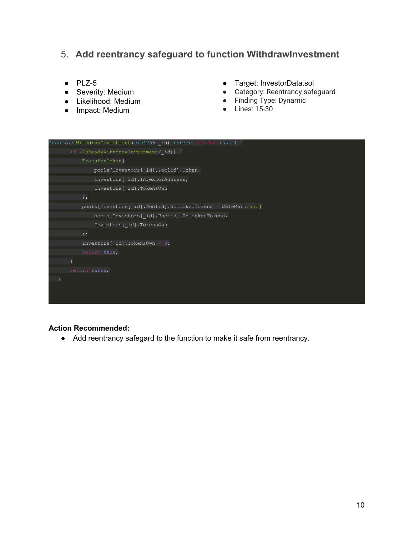#### <span id="page-10-0"></span>5. **Add reentrancy safeguard to function WithdrawInvestment**

- $\bullet$  PLZ-5
- Severity: Medium
- Likelihood: Medium
- Impact: Medium
- Target: InvestorData.sol
- Category: Reentrancy safeguard
- Finding Type: Dynamic
- Lines: 15-30



#### **Action Recommended:**

● Add reentrancy safegard to the function to make it safe from reentrancy.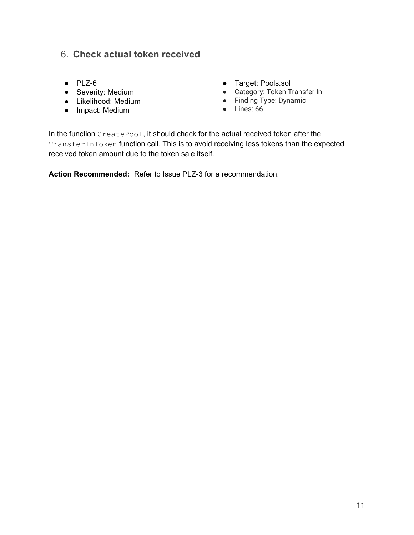#### <span id="page-11-0"></span>6. **Check actual token received**

- PLZ-6
- Severity: Medium
- Likelihood: Medium
- Impact: Medium
- Target: Pools.sol
- Category: Token Transfer In
- Finding Type: Dynamic
- Lines: 66

In the function CreatePool, it should check for the actual received token after the TransferInToken function call. This is to avoid receiving less tokens than the expected received token amount due to the token sale itself.

**Action Recommended:** Refer to Issue PLZ-3 for a recommendation.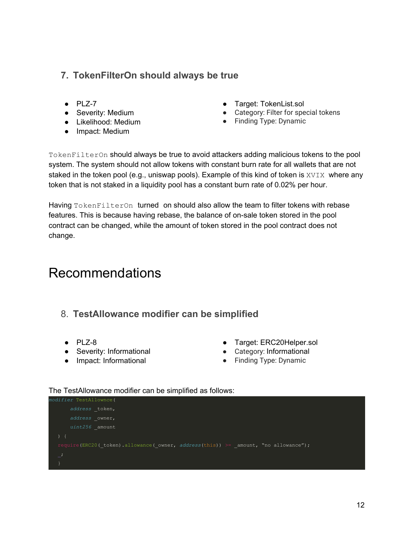#### <span id="page-12-0"></span>**7. TokenFilterOn should always be true**

- $\bullet$  PLZ-7
- Severity: Medium
- Likelihood: Medium
- Impact: Medium
- Target: TokenList.sol
- Category: Filter for special tokens
- Finding Type: Dynamic

TokenFilterOn should always be true to avoid attackers adding malicious tokens to the pool system. The system should not allow tokens with constant burn rate for all wallets that are not staked in the token pool (e.g., uniswap pools). Example of this kind of token is XVIX where any token that is not staked in a liquidity pool has a constant burn rate of 0.02% per hour.

Having TokenFilterOn turned on should also allow the team to filter tokens with rebase features. This is because having rebase, the balance of on-sale token stored in the pool contract can be changed, while the amount of token stored in the pool contract does not change.

## <span id="page-12-1"></span>Recommendations

- <span id="page-12-2"></span>8. **TestAllowance modifier can be simplified**
	- $\bullet$  PLZ-8
- Severity: Informational
- Impact: Informational
- Target: ERC20Helper.sol
- Category: Informational
- Finding Type: Dynamic

#### The TestAllowance modifier can be simplified as follows:

| modifier TestAllownce(                                                                 |
|----------------------------------------------------------------------------------------|
| address token,                                                                         |
| address owner,                                                                         |
| $uint256$ amount                                                                       |
|                                                                                        |
| require (ERC20 ( token).allowance ( owner, address (this)) >= amount, "no allowance"); |
| $\overline{\phantom{a}}$                                                               |
|                                                                                        |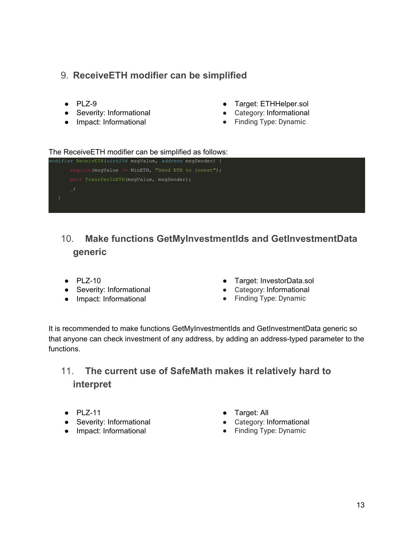#### <span id="page-13-0"></span>9. **ReceiveETH modifier can be simplified**

- $\bullet$  PLZ-9
- Severity: Informational
- Impact: Informational
- Target: ETHHelper.sol
- Category: Informational
- Finding Type: Dynamic

#### The ReceiveETH modifier can be simplified as follows:



### <span id="page-13-1"></span>10. **Make functions GetMyInvestmentIds and GetInvestmentData generic**

- PLZ-10
- Severity: Informational
- Impact: Informational
- Target: InvestorData.sol
- Category: Informational
- Finding Type: Dynamic

It is recommended to make functions GetMyInvestmentIds and GetInvestmentData generic so that anyone can check investment of any address, by adding an address-typed parameter to the functions.

### <span id="page-13-2"></span>11. **The current use of SafeMath makes it relatively hard to interpret**

- PLZ-11
- Severity: Informational
- Impact: Informational
- Target: All
- Category: Informational
- Finding Type: Dynamic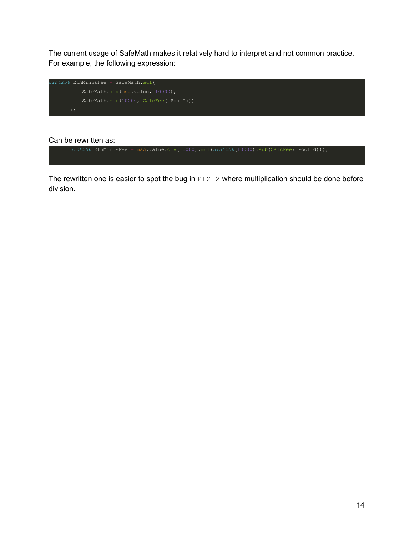The current usage of SafeMath makes it relatively hard to interpret and not common practice. For example, the following expression:



#### Can be rewritten as:



The rewritten one is easier to spot the bug in PLZ-2 where multiplication should be done before division.